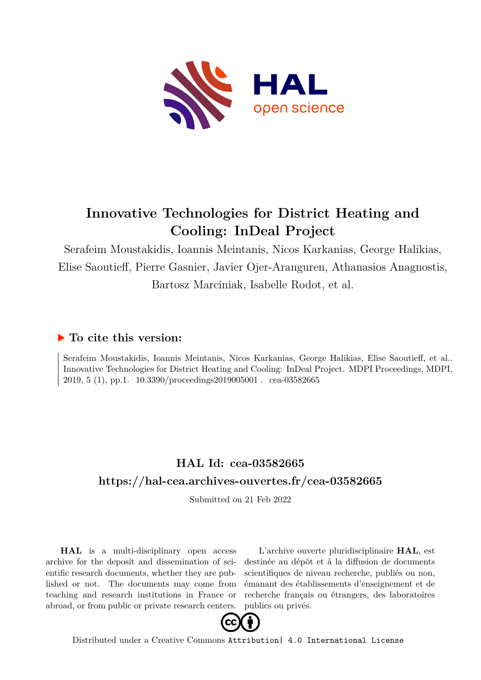

# **Innovative Technologies for District Heating and Cooling: InDeal Project**

Serafeim Moustakidis, Ioannis Meintanis, Nicos Karkanias, George Halikias, Elise Saoutieff, Pierre Gasnier, Javier Ojer-Aranguren, Athanasios Anagnostis, Bartosz Marciniak, Isabelle Rodot, et al.

### **To cite this version:**

Serafeim Moustakidis, Ioannis Meintanis, Nicos Karkanias, George Halikias, Elise Saoutieff, et al.. Innovative Technologies for District Heating and Cooling: InDeal Project. MDPI Proceedings, MDPI, 2019, 5 (1), pp.1.  $10.3390/$ proceedings2019005001 . cea-03582665

## **HAL Id: cea-03582665 <https://hal-cea.archives-ouvertes.fr/cea-03582665>**

Submitted on 21 Feb 2022

**HAL** is a multi-disciplinary open access archive for the deposit and dissemination of scientific research documents, whether they are published or not. The documents may come from teaching and research institutions in France or abroad, or from public or private research centers.

L'archive ouverte pluridisciplinaire **HAL**, est destinée au dépôt et à la diffusion de documents scientifiques de niveau recherche, publiés ou non, émanant des établissements d'enseignement et de recherche français ou étrangers, des laboratoires publics ou privés.



Distributed under a Creative Commons [Attribution| 4.0 International License](http://creativecommons.org/licenses/by/4.0/)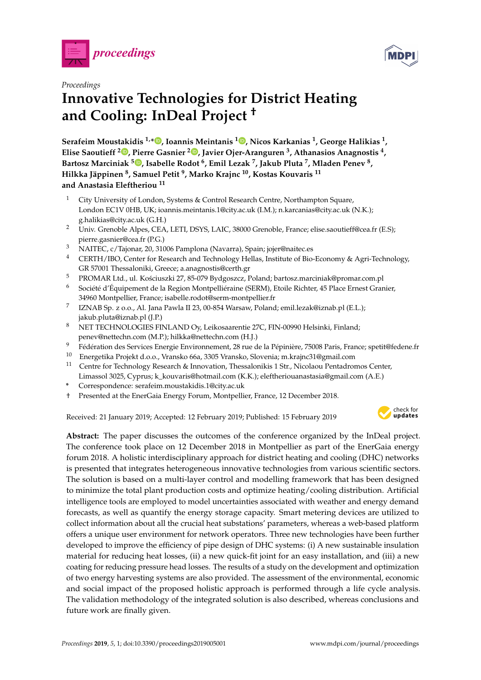



### *Proceedings* **Innovative Technologies for District Heating and Cooling: InDeal Project †**

**Serafeim Moustakidis 1,[\\*](https://orcid.org/0000-0002-1090-2177) , Ioannis Meintanis <sup>1</sup> [,](https://orcid.org/0000-0002-1920-1801) Nicos Karkanias <sup>1</sup> , George Halikias <sup>1</sup> , Elise Saoutieff <sup>2</sup> [,](https://orcid.org/0000-0003-0235-2141) Pierre Gasnier <sup>2</sup> [,](https://orcid.org/0000-0002-9082-6441) Javier Ojer-Aranguren <sup>3</sup> , Athanasios Anagnostis <sup>4</sup> , Bartosz Marciniak <sup>5</sup> [,](https://orcid.org/0000-0001-6053-7481) Isabelle Rodot <sup>6</sup> , Emil Lezak <sup>7</sup> , Jakub Pluta <sup>7</sup> , Mladen Penev <sup>8</sup> , Hilkka Jäppinen <sup>8</sup> , Samuel Petit <sup>9</sup> , Marko Krajnc <sup>10</sup>, Kostas Kouvaris <sup>11</sup> and Anastasia Eleftheriou <sup>11</sup>**

- <sup>1</sup> City University of London, Systems & Control Research Centre, Northampton Square, London EC1V 0HB, UK; ioannis.meintanis.1@city.ac.uk (I.M.); n.karcanias@city.ac.uk (N.K.); g.halikias@city.ac.uk (G.H.)
- <sup>2</sup> Univ. Grenoble Alpes, CEA, LETI, DSYS, LAIC, 38000 Grenoble, France; elise.saoutieff@cea.fr (E.S); pierre.gasnier@cea.fr (P.G.)
- <sup>3</sup> NAITEC, c/Tajonar, 20, 31006 Pamplona (Navarra), Spain; jojer@naitec.es
- <sup>4</sup> CERTH/IBO, Center for Research and Technology Hellas, Institute of Bio-Economy & Agri-Technology, GR 57001 Thessaloniki, Greece; a.anagnostis@certh.gr
- <sup>5</sup> PROMAR Ltd., ul. Kościuszki 27, 85-079 Bydgoszcz, Poland; bartosz.marciniak@promar.com.pl
- $6$  Société d'Équipement de la Region Montpelliéraine (SERM), Etoile Richter, 45 Place Ernest Granier, 34960 Montpellier, France; isabelle.rodot@serm-montpellier.fr
- 7 IZNAB Sp. z o.o., Al. Jana Pawla II 23, 00-854 Warsaw, Poland; emil.lezak@iznab.pl (E.L.); jakub.pluta@iznab.pl (J.P.)
- <sup>8</sup> NET TECHNOLOGIES FINLAND Oy, Leikosaarentie 27C, FIN-00990 Helsinki, Finland; penev@nettechn.com (M.P.); hilkka@nettechn.com (H.J.)
- <sup>9</sup> Fédération des Services Energie Environnement, 28 rue de la Pépinière, 75008 Paris, France; spetit@fedene.fr
- <sup>10</sup> Energetika Projekt d.o.o., Vransko 66a, 3305 Vransko, Slovenia; m.krajnc31@gmail.com
- <sup>11</sup> Centre for Technology Research & Innovation, Thessalonikis 1 Str., Nicolaou Pentadromos Center, Limassol 3025, Cyprus; k\_kouvaris@hotmail.com (K.K.); eleftheriouanastasia@gmail.com (A.E.)
- **\*** Correspondence: serafeim.moustakidis.1@city.ac.uk
- † Presented at the EnerGaia Energy Forum, Montpellier, France, 12 December 2018.

Received: 21 January 2019; Accepted: 12 February 2019; Published: 15 February 2019



**Abstract:** The paper discusses the outcomes of the conference organized by the InDeal project. The conference took place on 12 December 2018 in Montpellier as part of the EnerGaia energy forum 2018. A holistic interdisciplinary approach for district heating and cooling (DHC) networks is presented that integrates heterogeneous innovative technologies from various scientific sectors. The solution is based on a multi-layer control and modelling framework that has been designed to minimize the total plant production costs and optimize heating/cooling distribution. Artificial intelligence tools are employed to model uncertainties associated with weather and energy demand forecasts, as well as quantify the energy storage capacity. Smart metering devices are utilized to collect information about all the crucial heat substations' parameters, whereas a web-based platform offers a unique user environment for network operators. Three new technologies have been further developed to improve the efficiency of pipe design of DHC systems: (i) A new sustainable insulation material for reducing heat losses, (ii) a new quick-fit joint for an easy installation, and (iii) a new coating for reducing pressure head losses. The results of a study on the development and optimization of two energy harvesting systems are also provided. The assessment of the environmental, economic and social impact of the proposed holistic approach is performed through a life cycle analysis. The validation methodology of the integrated solution is also described, whereas conclusions and future work are finally given.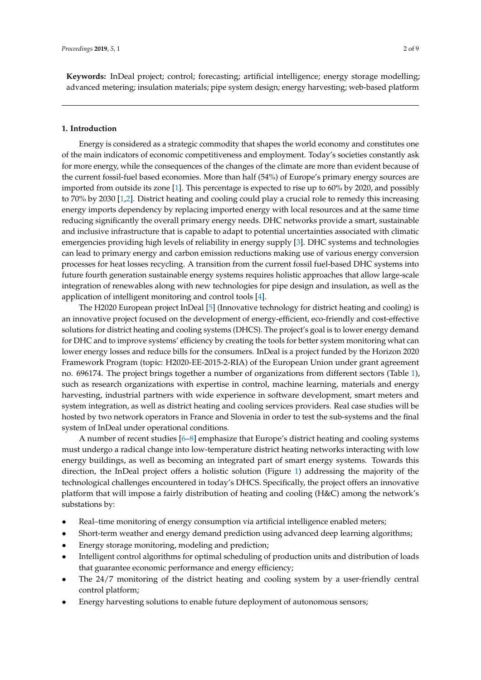**Keywords:** InDeal project; control; forecasting; artificial intelligence; energy storage modelling; advanced metering; insulation materials; pipe system design; energy harvesting; web-based platform

#### **1. Introduction**

Energy is considered as a strategic commodity that shapes the world economy and constitutes one of the main indicators of economic competitiveness and employment. Today's societies constantly ask for more energy, while the consequences of the changes of the climate are more than evident because of the current fossil-fuel based economies. More than half (54%) of Europe's primary energy sources are imported from outside its zone [1]. This percentage is expected to rise up to 60% by 2020, and possibly to 70% by 2030 [1,2]. District heating and cooling could play a crucial role to remedy this increasing energy imports dependency by replacing imported energy with local resources and at the same time reducing significantly the overall primary energy needs. DHC networks provide a smart, sustainable and inclusive infrastructure that is capable to adapt to potential uncertainties associated with climatic emergencies providing high levels of reliability in energy supply [3]. DHC systems and technologies can lead to primary energy and carbon emission reductions making use of various energy conversion processes for heat losses recycling. A transition from the current fossil fuel-based DHC systems into future fourth generation sustainable energy systems requires holistic approaches that allow large-scale integration of renewables along with new technologies for pipe design and insulation, as well as the application of intelligent monitoring and control tools [4].

The H2020 European project InDeal [5] (Innovative technology for district heating and cooling) is an innovative project focused on the development of energy-efficient, eco-friendly and cost-effective solutions for district heating and cooling systems (DHCS). The project's goal is to lower energy demand for DHC and to improve systems' efficiency by creating the tools for better system monitoring what can lower energy losses and reduce bills for the consumers. InDeal is a project funded by the Horizon 2020 Framework Program (topic: H2020-EE-2015-2-RIA) of the European Union under grant agreement no. 696174. The project brings together a number of organizations from different sectors (Table [1\)](#page-3-0), such as research organizations with expertise in control, machine learning, materials and energy harvesting, industrial partners with wide experience in software development, smart meters and system integration, as well as district heating and cooling services providers. Real case studies will be hosted by two network operators in France and Slovenia in order to test the sub-systems and the final system of InDeal under operational conditions.

A number of recent studies [6–8] emphasize that Europe's district heating and cooling systems must undergo a radical change into low-temperature district heating networks interacting with low energy buildings, as well as becoming an integrated part of smart energy systems. Towards this direction, the InDeal project offers a holistic solution (Figure 1) addressing the majority of the technological challenges encountered in today's DHCS. Specifically, the project offers an innovative platform that will impose a fairly distribution of heating and cooling (H&C) among the network's substations by:

- Real–time monitoring of energy consumption via artificial intelligence enabled meters;
- Short-term weather and energy demand prediction using advanced deep learning algorithms;
- Energy storage monitoring, modeling and prediction;
- Intelligent control algorithms for optimal scheduling of production units and distribution of loads that guarantee economic performance and energy efficiency;
- The 24/7 monitoring of the district heating and cooling system by a user-friendly central control platform;
- Energy harvesting solutions to enable future deployment of autonomous sensors;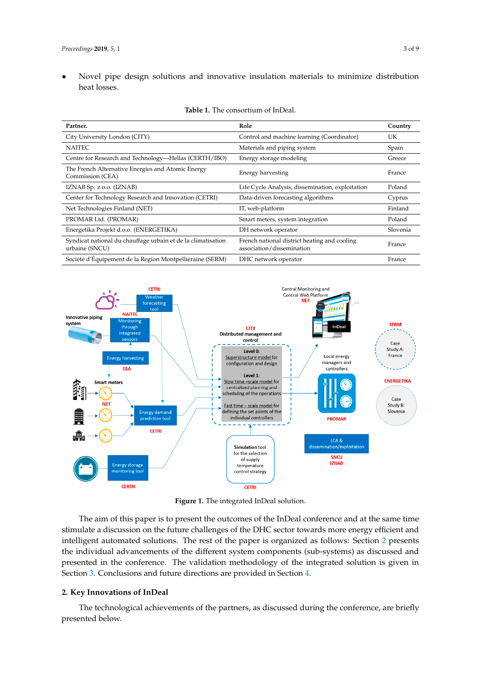• Novel pipe design solutions and innovative insulation materials to minimize distribution heat losses. Figure Commission (CEA) Energy harvesting France Commission (CEA) Energy harvesting France Commission France Commission (CEA) Energy harvesting France Commission (CEA) Energy harvesting France Commission (CEA) Energy harve

<span id="page-3-0"></span>

| <b>Table 1.</b> The consolidant of hild call                                   |                                                                           |          |
|--------------------------------------------------------------------------------|---------------------------------------------------------------------------|----------|
| Partner.                                                                       | Role                                                                      | Country  |
| City University London (CITY)                                                  | Control and machine learning (Coordinator)                                | UK       |
| <b>NAITEC</b>                                                                  | Materials and piping system                                               | Spain    |
| Centre for Research and Technology—Hellas (CERTH/IBO)                          | Energy storage modeling                                                   | Greece   |
| The French Alternative Energies and Atomic Energy<br>Commission (CEA)          | Energy harvesting                                                         | France   |
| IZNAB Sp. z o.o. (IZNAB)                                                       | Life Cycle Analysis, dissemination, exploitation                          | Poland   |
| Center for Technology Research and Innovation (CETRI)                          | Data-driven forecasting algorithms                                        | Cyprus   |
| Net Technologies Finland (NET)                                                 | IT, web-platform                                                          | Finland  |
| PROMAR Ltd. (PROMAR)                                                           | Smart meters, system integration                                          | Poland   |
| Energetika Projekt d.o.o. (ENERGETIKA)                                         | DH network operator                                                       | Slovenia |
| Syndicat national du chauffage urbain et de la climatisation<br>urbaine (SNCU) | French national district heating and cooling<br>association/dissemination | France   |
| Société d'Équipement de la Region Montpelliéraine (SERM)                       | DHC network operator                                                      | France   |

|  | <b>Table 1.</b> The consortium of InDeal. |
|--|-------------------------------------------|
|--|-------------------------------------------|



**Figure 1.** The integrated InDeal solution. **Figure 1.** The integrated InDeal solution.

The aim of this paper is to present the outcomes of the InDeal conference and at the same time stimulate a discussion on the future challenges of the DHC sector towards more energy efficient and intelligent automated solutions. The rest of the paper is organized as follows: Section [2](#page-3-1) presents the individual advancements of the different system components (sub-systems) as discussed and presented in the conference. The validation methodology of the integrated solution is given in Section [3.](#page-6-0) Conclusions and future directions are provided in Section [4.](#page-7-0)

#### <span id="page-3-1"></span>**2. Key Innovations of InDeal**

The technological achievements of the partners, as discussed during the conference, are briefly presented below.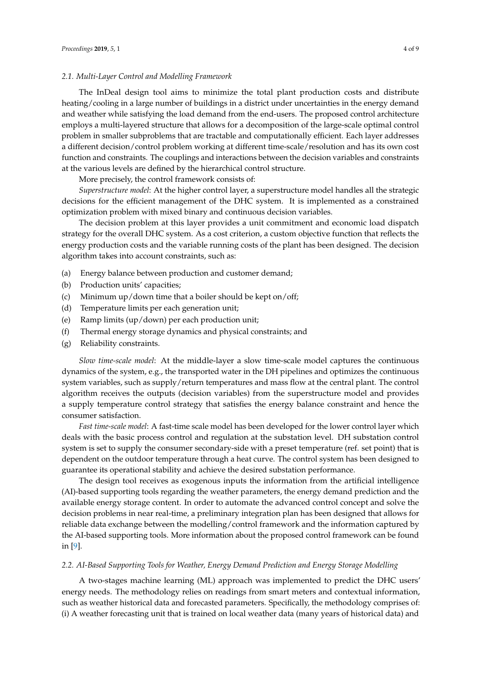#### *2.1. Multi-Layer Control and Modelling Framework*

The InDeal design tool aims to minimize the total plant production costs and distribute heating/cooling in a large number of buildings in a district under uncertainties in the energy demand and weather while satisfying the load demand from the end-users. The proposed control architecture employs a multi-layered structure that allows for a decomposition of the large-scale optimal control problem in smaller subproblems that are tractable and computationally efficient. Each layer addresses a different decision/control problem working at different time-scale/resolution and has its own cost function and constraints. The couplings and interactions between the decision variables and constraints at the various levels are defined by the hierarchical control structure.

More precisely, the control framework consists of:

*Superstructure model*: At the higher control layer, a superstructure model handles all the strategic decisions for the efficient management of the DHC system. It is implemented as a constrained optimization problem with mixed binary and continuous decision variables.

The decision problem at this layer provides a unit commitment and economic load dispatch strategy for the overall DHC system. As a cost criterion, a custom objective function that reflects the energy production costs and the variable running costs of the plant has been designed. The decision algorithm takes into account constraints, such as:

- (a) Energy balance between production and customer demand;
- (b) Production units' capacities;
- (c) Minimum up/down time that a boiler should be kept on/off;
- (d) Temperature limits per each generation unit;
- (e) Ramp limits (up/down) per each production unit;
- (f) Thermal energy storage dynamics and physical constraints; and
- (g) Reliability constraints.

*Slow time-scale model*: At the middle-layer a slow time-scale model captures the continuous dynamics of the system, e.g., the transported water in the DH pipelines and optimizes the continuous system variables, such as supply/return temperatures and mass flow at the central plant. The control algorithm receives the outputs (decision variables) from the superstructure model and provides a supply temperature control strategy that satisfies the energy balance constraint and hence the consumer satisfaction.

*Fast time-scale model*: A fast-time scale model has been developed for the lower control layer which deals with the basic process control and regulation at the substation level. DH substation control system is set to supply the consumer secondary-side with a preset temperature (ref. set point) that is dependent on the outdoor temperature through a heat curve. The control system has been designed to guarantee its operational stability and achieve the desired substation performance.

The design tool receives as exogenous inputs the information from the artificial intelligence (AI)-based supporting tools regarding the weather parameters, the energy demand prediction and the available energy storage content. In order to automate the advanced control concept and solve the decision problems in near real-time, a preliminary integration plan has been designed that allows for reliable data exchange between the modelling/control framework and the information captured by the AI-based supporting tools. More information about the proposed control framework can be found in [9].

#### *2.2. AI-Based Supporting Tools for Weather, Energy Demand Prediction and Energy Storage Modelling*

A two-stages machine learning (ML) approach was implemented to predict the DHC users' energy needs. The methodology relies on readings from smart meters and contextual information, such as weather historical data and forecasted parameters. Specifically, the methodology comprises of: (i) A weather forecasting unit that is trained on local weather data (many years of historical data) and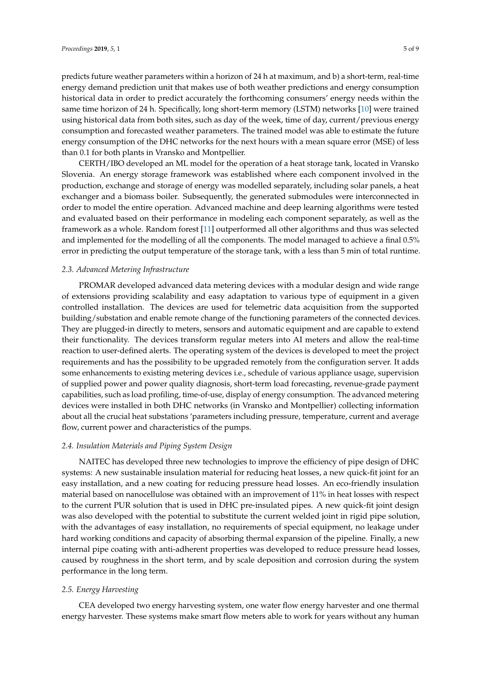predicts future weather parameters within a horizon of 24 h at maximum, and b) a short-term, real-time energy demand prediction unit that makes use of both weather predictions and energy consumption historical data in order to predict accurately the forthcoming consumers' energy needs within the same time horizon of 24 h. Specifically, long short-term memory (LSTM) networks [10] were trained using historical data from both sites, such as day of the week, time of day, current/previous energy consumption and forecasted weather parameters. The trained model was able to estimate the future energy consumption of the DHC networks for the next hours with a mean square error (MSE) of less than 0.1 for both plants in Vransko and Montpellier.

CERTH/IBO developed an ML model for the operation of a heat storage tank, located in Vransko Slovenia. An energy storage framework was established where each component involved in the production, exchange and storage of energy was modelled separately, including solar panels, a heat exchanger and a biomass boiler. Subsequently, the generated submodules were interconnected in order to model the entire operation. Advanced machine and deep learning algorithms were tested and evaluated based on their performance in modeling each component separately, as well as the framework as a whole. Random forest [11] outperformed all other algorithms and thus was selected and implemented for the modelling of all the components. The model managed to achieve a final 0.5% error in predicting the output temperature of the storage tank, with a less than 5 min of total runtime.

#### *2.3. Advanced Metering Infrastructure*

PROMAR developed advanced data metering devices with a modular design and wide range of extensions providing scalability and easy adaptation to various type of equipment in a given controlled installation. The devices are used for telemetric data acquisition from the supported building/substation and enable remote change of the functioning parameters of the connected devices. They are plugged-in directly to meters, sensors and automatic equipment and are capable to extend their functionality. The devices transform regular meters into AI meters and allow the real-time reaction to user-defined alerts. The operating system of the devices is developed to meet the project requirements and has the possibility to be upgraded remotely from the configuration server. It adds some enhancements to existing metering devices i.e., schedule of various appliance usage, supervision of supplied power and power quality diagnosis, short-term load forecasting, revenue-grade payment capabilities, such as load profiling, time-of-use, display of energy consumption. The advanced metering devices were installed in both DHC networks (in Vransko and Montpellier) collecting information about all the crucial heat substations 'parameters including pressure, temperature, current and average flow, current power and characteristics of the pumps.

#### *2.4. Insulation Materials and Piping System Design*

NAITEC has developed three new technologies to improve the efficiency of pipe design of DHC systems: A new sustainable insulation material for reducing heat losses, a new quick-fit joint for an easy installation, and a new coating for reducing pressure head losses. An eco-friendly insulation material based on nanocellulose was obtained with an improvement of 11% in heat losses with respect to the current PUR solution that is used in DHC pre-insulated pipes. A new quick-fit joint design was also developed with the potential to substitute the current welded joint in rigid pipe solution, with the advantages of easy installation, no requirements of special equipment, no leakage under hard working conditions and capacity of absorbing thermal expansion of the pipeline. Finally, a new internal pipe coating with anti-adherent properties was developed to reduce pressure head losses, caused by roughness in the short term, and by scale deposition and corrosion during the system performance in the long term.

#### *2.5. Energy Harvesting*

CEA developed two energy harvesting system, one water flow energy harvester and one thermal energy harvester. These systems make smart flow meters able to work for years without any human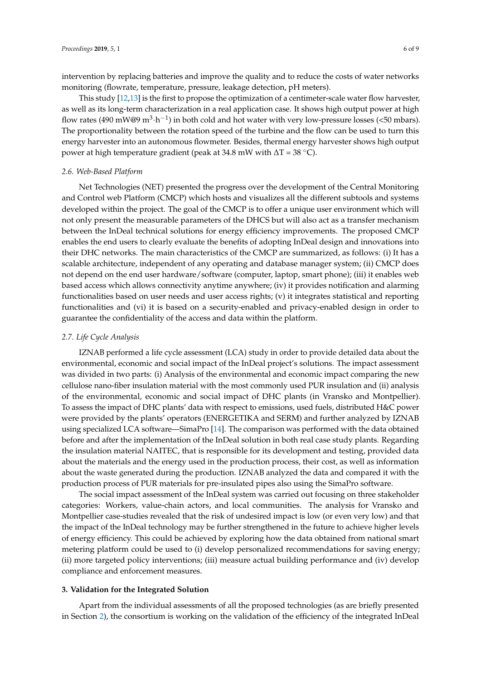intervention by replacing batteries and improve the quality and to reduce the costs of water networks monitoring (flowrate, temperature, pressure, leakage detection, pH meters).

This study [12,13] is the first to propose the optimization of a centimeter-scale water flow harvester, as well as its long-term characterization in a real application case. It shows high output power at high flow rates (490 mW@9  $m^3 \cdot h^{-1}$ ) in both cold and hot water with very low-pressure losses (<50 mbars). The proportionality between the rotation speed of the turbine and the flow can be used to turn this energy harvester into an autonomous flowmeter. Besides, thermal energy harvester shows high output power at high temperature gradient (peak at 34.8 mW with  $\Delta T = 38$  °C).

#### *2.6. Web-Based Platform*

Net Technologies (NET) presented the progress over the development of the Central Monitoring and Control web Platform (CMCP) which hosts and visualizes all the different subtools and systems developed within the project. The goal of the CMCP is to offer a unique user environment which will not only present the measurable parameters of the DHCS but will also act as a transfer mechanism between the InDeal technical solutions for energy efficiency improvements. The proposed CMCP enables the end users to clearly evaluate the benefits of adopting InDeal design and innovations into their DHC networks. The main characteristics of the CMCP are summarized, as follows: (i) It has a scalable architecture, independent of any operating and database manager system; (ii) CMCP does not depend on the end user hardware/software (computer, laptop, smart phone); (iii) it enables web based access which allows connectivity anytime anywhere; (iv) it provides notification and alarming functionalities based on user needs and user access rights; (v) it integrates statistical and reporting functionalities and (vi) it is based on a security-enabled and privacy-enabled design in order to guarantee the confidentiality of the access and data within the platform.

#### *2.7. Life Cycle Analysis*

IZNAB performed a life cycle assessment (LCA) study in order to provide detailed data about the environmental, economic and social impact of the InDeal project's solutions. The impact assessment was divided in two parts: (i) Analysis of the environmental and economic impact comparing the new cellulose nano-fiber insulation material with the most commonly used PUR insulation and (ii) analysis of the environmental, economic and social impact of DHC plants (in Vransko and Montpellier). To assess the impact of DHC plants' data with respect to emissions, used fuels, distributed H&C power were provided by the plants' operators (ENERGETIKA and SERM) and further analyzed by IZNAB using specialized LCA software—SimaPro [14]. The comparison was performed with the data obtained before and after the implementation of the InDeal solution in both real case study plants. Regarding the insulation material NAITEC, that is responsible for its development and testing, provided data about the materials and the energy used in the production process, their cost, as well as information about the waste generated during the production. IZNAB analyzed the data and compared it with the production process of PUR materials for pre-insulated pipes also using the SimaPro software.

The social impact assessment of the InDeal system was carried out focusing on three stakeholder categories: Workers, value-chain actors, and local communities. The analysis for Vransko and Montpellier case-studies revealed that the risk of undesired impact is low (or even very low) and that the impact of the InDeal technology may be further strengthened in the future to achieve higher levels of energy efficiency. This could be achieved by exploring how the data obtained from national smart metering platform could be used to (i) develop personalized recommendations for saving energy; (ii) more targeted policy interventions; (iii) measure actual building performance and (iv) develop compliance and enforcement measures.

#### <span id="page-6-0"></span>**3. Validation for the Integrated Solution**

Apart from the individual assessments of all the proposed technologies (as are briefly presented in Section [2\)](#page-3-1), the consortium is working on the validation of the efficiency of the integrated InDeal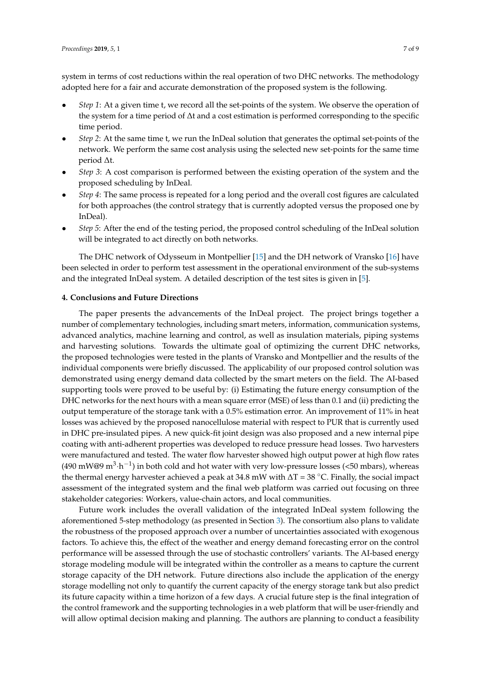system in terms of cost reductions within the real operation of two DHC networks. The methodology adopted here for a fair and accurate demonstration of the proposed system is the following.

- *Step 1*: At a given time t, we record all the set-points of the system. We observe the operation of the system for a time period of ∆t and a cost estimation is performed corresponding to the specific time period.
- *Step 2*: At the same time t, we run the InDeal solution that generates the optimal set-points of the network. We perform the same cost analysis using the selected new set-points for the same time period ∆t.
- *Step 3*: A cost comparison is performed between the existing operation of the system and the proposed scheduling by InDeal.
- *Step 4*: The same process is repeated for a long period and the overall cost figures are calculated for both approaches (the control strategy that is currently adopted versus the proposed one by InDeal).
- *Step 5*: After the end of the testing period, the proposed control scheduling of the InDeal solution will be integrated to act directly on both networks.

The DHC network of Odysseum in Montpellier [15] and the DH network of Vransko [16] have been selected in order to perform test assessment in the operational environment of the sub-systems and the integrated InDeal system. A detailed description of the test sites is given in [5].

#### <span id="page-7-0"></span>**4. Conclusions and Future Directions**

The paper presents the advancements of the InDeal project. The project brings together a number of complementary technologies, including smart meters, information, communication systems, advanced analytics, machine learning and control, as well as insulation materials, piping systems and harvesting solutions. Towards the ultimate goal of optimizing the current DHC networks, the proposed technologies were tested in the plants of Vransko and Montpellier and the results of the individual components were briefly discussed. The applicability of our proposed control solution was demonstrated using energy demand data collected by the smart meters on the field. The AI-based supporting tools were proved to be useful by: (i) Estimating the future energy consumption of the DHC networks for the next hours with a mean square error (MSE) of less than 0.1 and (ii) predicting the output temperature of the storage tank with a 0.5% estimation error. An improvement of 11% in heat losses was achieved by the proposed nanocellulose material with respect to PUR that is currently used in DHC pre-insulated pipes. A new quick-fit joint design was also proposed and a new internal pipe coating with anti-adherent properties was developed to reduce pressure head losses. Two harvesters were manufactured and tested. The water flow harvester showed high output power at high flow rates (490 mW@9  $m^3 \cdot h^{-1}$ ) in both cold and hot water with very low-pressure losses (<50 mbars), whereas the thermal energy harvester achieved a peak at 34.8 mW with  $\Delta T = 38$  °C. Finally, the social impact assessment of the integrated system and the final web platform was carried out focusing on three stakeholder categories: Workers, value-chain actors, and local communities.

Future work includes the overall validation of the integrated InDeal system following the aforementioned 5-step methodology (as presented in Section [3\)](#page-6-0). The consortium also plans to validate the robustness of the proposed approach over a number of uncertainties associated with exogenous factors. To achieve this, the effect of the weather and energy demand forecasting error on the control performance will be assessed through the use of stochastic controllers' variants. The AI-based energy storage modeling module will be integrated within the controller as a means to capture the current storage capacity of the DH network. Future directions also include the application of the energy storage modelling not only to quantify the current capacity of the energy storage tank but also predict its future capacity within a time horizon of a few days. A crucial future step is the final integration of the control framework and the supporting technologies in a web platform that will be user-friendly and will allow optimal decision making and planning. The authors are planning to conduct a feasibility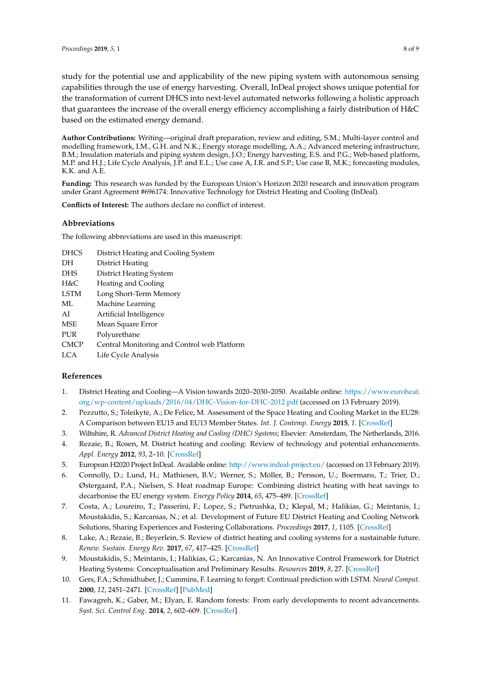study for the potential use and applicability of the new piping system with autonomous sensing capabilities through the use of energy harvesting. Overall, InDeal project shows unique potential for the transformation of current DHCS into next-level automated networks following a holistic approach that guarantees the increase of the overall energy efficiency accomplishing a fairly distribution of H&C based on the estimated energy demand.

**Author Contributions:** Writing—original draft preparation, review and editing, S.M.; Multi-layer control and modelling framework, I.M., G.H. and N.K.; Energy storage modelling, A.A.; Advanced metering infrastructure, B.M.; Insulation materials and piping system design, J.O.; Energy harvesting, E.S. and P.G.; Web-based platform, M.P. and H.J.; Life Cycle Analysis, J.P. and E.L.; Use case A, I.R. and S.P.; Use case B, M.K.; forecasting modules, K.K. and A.E.

**Funding:** This research was funded by the European Union's Horizon 2020 research and innovation program under Grant Agreement #696174: Innovative Technology for District Heating and Cooling (InDeal).

**Conflicts of Interest:** The authors declare no conflict of interest.

#### **Abbreviations**

The following abbreviations are used in this manuscript:

| <b>DHCS</b> | District Heating and Cooling System         |
|-------------|---------------------------------------------|
| DH          | District Heating                            |
| <b>DHS</b>  | District Heating System                     |
| H&C         | Heating and Cooling                         |
| <b>LSTM</b> | Long Short-Term Memory                      |
| ML          | Machine Learning                            |
| AI          | Artificial Intelligence                     |
| MSE         | Mean Square Error                           |
| PUR         | Polyurethane                                |
| <b>CMCP</b> | Central Monitoring and Control web Platform |
| LCA         | Life Cycle Analysis                         |

#### **References**

- 1. District Heating and Cooling—A Vision towards 2020–2030–2050. Available online: [https://www.euroheat.](https://www.euroheat.org/wp-content/uploads/2016/04/DHC-Vision-for-DHC-2012.pdf) [org/wp-content/uploads/2016/04/DHC-Vision-for-DHC-2012.pdf](https://www.euroheat.org/wp-content/uploads/2016/04/DHC-Vision-for-DHC-2012.pdf) (accessed on 13 February 2019).
- 2. Pezzutto, S.; Toleikytė, A.; De Felice, M. Assessment of the Space Heating and Cooling Market in the EU28: A Comparison between EU15 and EU13 Member States. *Int. J. Contemp. Energy* **2015**, *1*. [\[CrossRef\]](http://dx.doi.org/10.14621/ce.20150105)
- 3. Wiltshire, R. *Advanced District Heating and Cooling (DHC) Systems*; Elsevier: Amsterdam, The Netherlands, 2016.
- 4. Rezaie, B.; Rosen, M. District heating and cooling: Review of technology and potential enhancements. *Appl. Energy* **2012**, *93*, 2–10. [\[CrossRef\]](http://dx.doi.org/10.1016/j.apenergy.2011.04.020)
- 5. European H2020 Project InDeal. Available online: <http://www.indeal-project.eu/> (accessed on 13 February 2019).
- 6. Connolly, D.; Lund, H.; Mathiesen, B.V.; Werner, S.; Möller, B.; Persson, U.; Boermans, T.; Trier, D.; Østergaard, P.A.; Nielsen, S. Heat roadmap Europe: Combining district heating with heat savings to decarbonise the EU energy system. *Energy Policy* **2014**, *65*, 475–489. [\[CrossRef\]](http://dx.doi.org/10.1016/j.enpol.2013.10.035)
- 7. Costa, A.; Loureiro, T.; Passerini, F.; Lopez, S.; Pietrushka, D.; Klepal, M.; Halikias, G.; Meintanis, I.; Moustakidis, S.; Karcanias, N.; et al. Development of Future EU District Heating and Cooling Network Solutions, Sharing Experiences and Fostering Collaborations. *Proceedings* **2017**, *1*, 1105. [\[CrossRef\]](http://dx.doi.org/10.3390/proceedings1071105)
- 8. Lake, A.; Rezaie, B.; Beyerlein, S. Review of district heating and cooling systems for a sustainable future. *Renew. Sustain. Energy Rev.* **2017**, *67*, 417–425. [\[CrossRef\]](http://dx.doi.org/10.1016/j.rser.2016.09.061)
- 9. Moustakidis, S.; Meintanis, I.; Halikias, G.; Karcanias, N. An Innovative Control Framework for District Heating Systems: Conceptualisation and Preliminary Results. *Resources* **2019**, *8*, 27. [\[CrossRef\]](http://dx.doi.org/10.3390/resources8010027)
- 10. Gers, F.A.; Schmidhuber, J.; Cummins, F. Learning to forget: Continual prediction with LSTM. *Neural Comput.* **2000**, *12*, 2451–2471. [\[CrossRef\]](http://dx.doi.org/10.1162/089976600300015015) [\[PubMed\]](http://www.ncbi.nlm.nih.gov/pubmed/11032042)
- 11. Fawagreh, K.; Gaber, M.; Elyan, E. Random forests: From early developments to recent advancements. *Syst. Sci. Control Eng.* **2014**, *2*, 602–609. [\[CrossRef\]](http://dx.doi.org/10.1080/21642583.2014.956265)